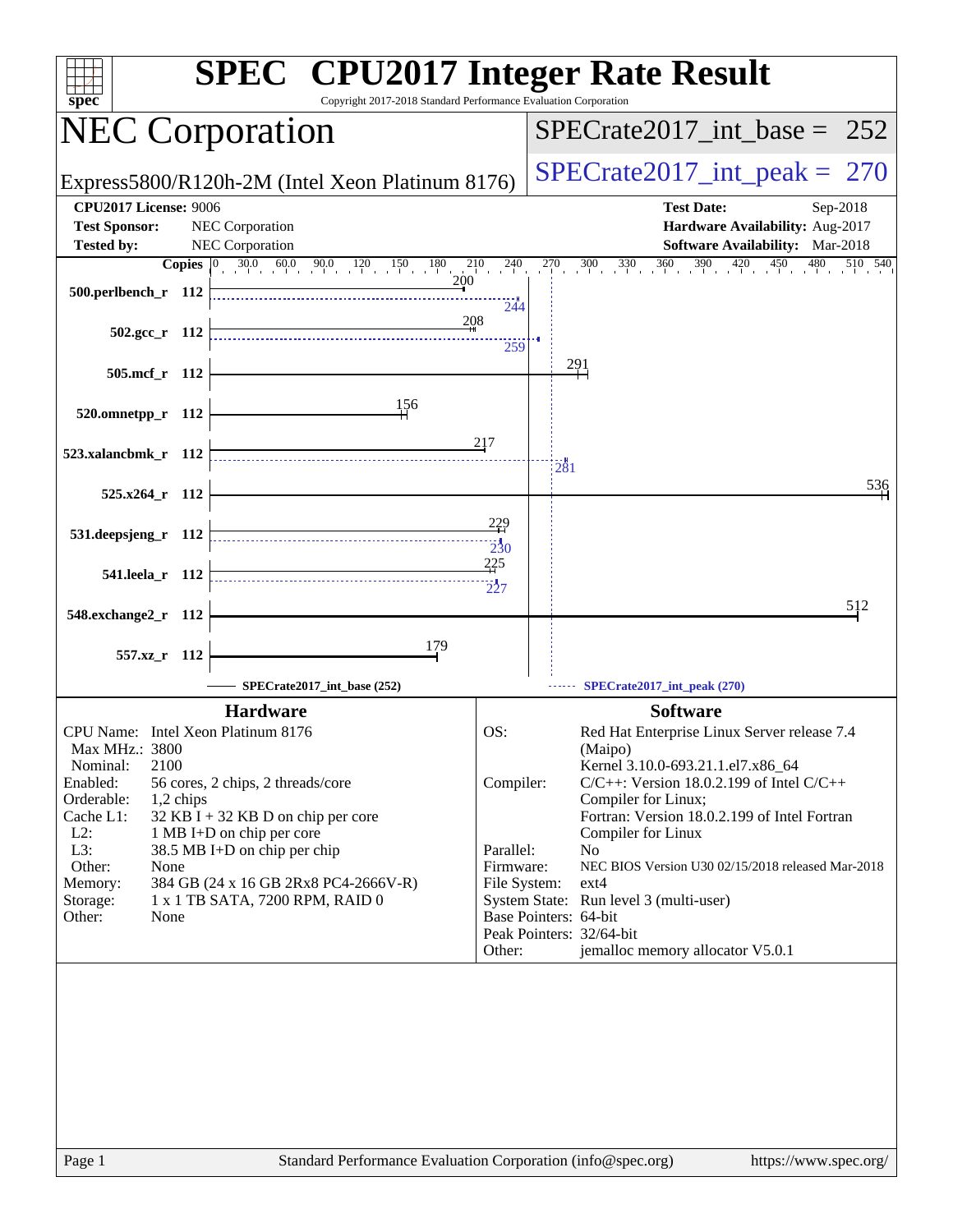| $spec^*$                                                          | <b>SPEC<sup>®</sup></b> CPU2017 Integer Rate Result<br>Copyright 2017-2018 Standard Performance Evaluation Corporation              |                                    |                                                                                                                                                            |
|-------------------------------------------------------------------|-------------------------------------------------------------------------------------------------------------------------------------|------------------------------------|------------------------------------------------------------------------------------------------------------------------------------------------------------|
| <b>NEC Corporation</b>                                            |                                                                                                                                     |                                    | $SPECTate2017\_int\_base = 252$                                                                                                                            |
|                                                                   | Express5800/R120h-2M (Intel Xeon Platinum 8176)                                                                                     |                                    | $SPECrate2017\_int\_peak = 270$                                                                                                                            |
| <b>CPU2017 License: 9006</b>                                      |                                                                                                                                     |                                    | <b>Test Date:</b><br>Sep-2018                                                                                                                              |
| <b>Test Sponsor:</b><br><b>Tested by:</b>                         | NEC Corporation<br>NEC Corporation                                                                                                  |                                    | Hardware Availability: Aug-2017<br>Software Availability: Mar-2018                                                                                         |
|                                                                   | <b>Copies</b> $\begin{bmatrix} 0 & 30.0 & 60.0 & 90.0 & 120 & 150 & 180 & 210 & 240 \ 1 & 20 & 200 & 200 & 200 & 200 \end{bmatrix}$ |                                    | $\frac{30}{1}$ $\frac{330}{1}$ $\frac{360}{1}$ $\frac{390}{1}$ $\frac{420}{1}$ $\frac{450}{1}$ $\frac{480}{1}$<br>$\overline{510}$ $\overline{540}$<br>270 |
| 500.perlbench r 112                                               |                                                                                                                                     | 244                                |                                                                                                                                                            |
| $502.\text{gcc r}$ 112                                            | 208                                                                                                                                 | 259                                |                                                                                                                                                            |
| 505.mcf_r 112                                                     |                                                                                                                                     |                                    | <u> 291</u>                                                                                                                                                |
| 520.omnetpp_r 112                                                 | 156                                                                                                                                 |                                    |                                                                                                                                                            |
| 523.xalancbmk_r 112                                               |                                                                                                                                     | 217                                | 281                                                                                                                                                        |
| 525.x264_r 112                                                    |                                                                                                                                     |                                    | 536                                                                                                                                                        |
| 531.deepsjeng_r 112                                               |                                                                                                                                     | $\frac{229}{2}$<br>$\frac{1}{230}$ |                                                                                                                                                            |
| 541.leela r 112                                                   |                                                                                                                                     | 225<br>227                         |                                                                                                                                                            |
| 548.exchange2_r 112                                               |                                                                                                                                     |                                    | 512                                                                                                                                                        |
| 557.xz_r 112                                                      | 179                                                                                                                                 |                                    |                                                                                                                                                            |
|                                                                   | SPECrate2017_int_base (252)                                                                                                         |                                    | SPECrate2017_int_peak (270)                                                                                                                                |
| CPU Name: Intel Xeon Platinum 8176                                | <b>Hardware</b>                                                                                                                     | OS:                                | <b>Software</b><br>Red Hat Enterprise Linux Server release 7.4                                                                                             |
| Max MHz.: 3800                                                    |                                                                                                                                     |                                    | (Maipo)                                                                                                                                                    |
| 2100<br>Nominal:<br>Enabled:                                      | 56 cores, 2 chips, 2 threads/core                                                                                                   | Compiler:                          | Kernel 3.10.0-693.21.1.el7.x86 64<br>$C/C++$ : Version 18.0.2.199 of Intel $C/C++$                                                                         |
| Orderable:<br>1,2 chips                                           |                                                                                                                                     |                                    | Compiler for Linux;                                                                                                                                        |
| Cache L1:<br>$L2$ :                                               | $32$ KB I + 32 KB D on chip per core<br>1 MB I+D on chip per core                                                                   |                                    | Fortran: Version 18.0.2.199 of Intel Fortran<br>Compiler for Linux                                                                                         |
| L3:                                                               | 38.5 MB I+D on chip per chip                                                                                                        | Parallel:                          | No                                                                                                                                                         |
| Other:<br>None<br>384 GB (24 x 16 GB 2Rx8 PC4-2666V-R)<br>Memory: |                                                                                                                                     | Firmware:<br>File System:          | NEC BIOS Version U30 02/15/2018 released Mar-2018<br>$ext{4}$                                                                                              |
| Storage:                                                          | 1 x 1 TB SATA, 7200 RPM, RAID 0                                                                                                     |                                    | System State: Run level 3 (multi-user)                                                                                                                     |
| Other:<br>None                                                    |                                                                                                                                     |                                    | Base Pointers: 64-bit<br>Peak Pointers: 32/64-bit                                                                                                          |
|                                                                   |                                                                                                                                     | Other:                             | jemalloc memory allocator V5.0.1                                                                                                                           |
|                                                                   |                                                                                                                                     |                                    |                                                                                                                                                            |
|                                                                   |                                                                                                                                     |                                    |                                                                                                                                                            |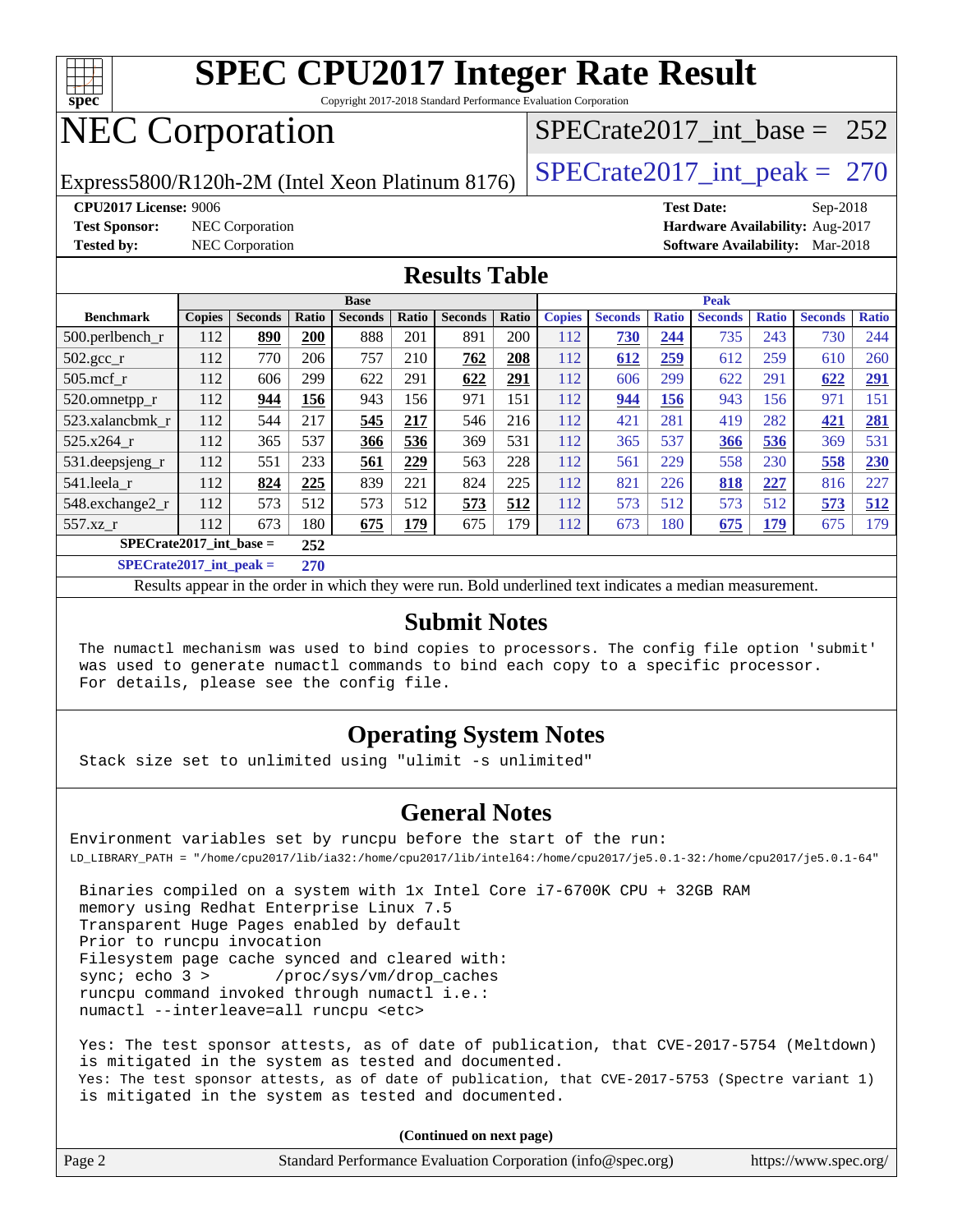

Copyright 2017-2018 Standard Performance Evaluation Corporation

# NEC Corporation

[SPECrate2017\\_int\\_base =](http://www.spec.org/auto/cpu2017/Docs/result-fields.html#SPECrate2017intbase) 252

Express5800/R120h-2M (Intel Xeon Platinum 8176) [SPECrate2017\\_int\\_peak =](http://www.spec.org/auto/cpu2017/Docs/result-fields.html#SPECrate2017intpeak) 270

**[CPU2017 License:](http://www.spec.org/auto/cpu2017/Docs/result-fields.html#CPU2017License)** 9006 **[Test Date:](http://www.spec.org/auto/cpu2017/Docs/result-fields.html#TestDate)** Sep-2018

**[Test Sponsor:](http://www.spec.org/auto/cpu2017/Docs/result-fields.html#TestSponsor)** NEC Corporation **[Hardware Availability:](http://www.spec.org/auto/cpu2017/Docs/result-fields.html#HardwareAvailability)** Aug-2017

**[Tested by:](http://www.spec.org/auto/cpu2017/Docs/result-fields.html#Testedby)** NEC Corporation **[Software Availability:](http://www.spec.org/auto/cpu2017/Docs/result-fields.html#SoftwareAvailability)** Mar-2018

## **[Results Table](http://www.spec.org/auto/cpu2017/Docs/result-fields.html#ResultsTable)**

|                            | <b>Base</b>   |                |       |                |       | <b>Peak</b>    |       |               |                |              |                |              |                |              |
|----------------------------|---------------|----------------|-------|----------------|-------|----------------|-------|---------------|----------------|--------------|----------------|--------------|----------------|--------------|
| <b>Benchmark</b>           | <b>Copies</b> | <b>Seconds</b> | Ratio | <b>Seconds</b> | Ratio | <b>Seconds</b> | Ratio | <b>Copies</b> | <b>Seconds</b> | <b>Ratio</b> | <b>Seconds</b> | <b>Ratio</b> | <b>Seconds</b> | <b>Ratio</b> |
| $500.$ perlbench_r         | 112           | 890            | 200   | 888            | 201   | 891            | 200   | 112           | 730            | 244          | 735            | 243          | 730            | 244          |
| $502.\text{gcc\_r}$        | 112           | 770            | 206   | 757            | 210   | 762            | 208   | 112           | 612            | 259          | 612            | 259          | 610            | 260          |
| $505$ .mcf r               | 112           | 606            | 299   | 622            | 291   | 622            | 291   | 112           | 606            | 299          | 622            | 291          | 622            | <u>291</u>   |
| 520.omnetpp_r              | 112           | 944            | 156   | 943            | 156   | 971            | 151   | 112           | 944            | 156          | 943            | 156          | 971            | 151          |
| 523.xalancbmk_r            | 112           | 544            | 217   | 545            | 217   | 546            | 216   | 112           | 421            | 281          | 419            | 282          | 421            | <b>281</b>   |
| 525.x264 r                 | 112           | 365            | 537   | 366            | 536   | 369            | 531   | 112           | 365            | 537          | 366            | 536          | 369            | 531          |
| 531.deepsjeng_r            | 112           | 551            | 233   | 561            | 229   | 563            | 228   | 112           | 561            | 229          | 558            | 230          | 558            | <b>230</b>   |
| 541.leela r                | 112           | 824            | 225   | 839            | 221   | 824            | 225   | 112           | 821            | 226          | 818            | 227          | 816            | 227          |
| 548.exchange2_r            | 112           | 573            | 512   | 573            | 512   | 573            | 512   | 112           | 573            | 512          | 573            | 512          | 573            | 512          |
| 557.xz r                   | 112           | 673            | 180   | 675            | 179   | 675            | 179   | 112           | 673            | 180          | 675            | 179          | 675            | 179          |
| $SPECrate2017$ int base =  |               |                | 252   |                |       |                |       |               |                |              |                |              |                |              |
| $CDFCsoft2017 int model =$ |               |                | 270   |                |       |                |       |               |                |              |                |              |                |              |

**[SPECrate2017\\_int\\_peak =](http://www.spec.org/auto/cpu2017/Docs/result-fields.html#SPECrate2017intpeak) 270**

Results appear in the [order in which they were run](http://www.spec.org/auto/cpu2017/Docs/result-fields.html#RunOrder). Bold underlined text [indicates a median measurement](http://www.spec.org/auto/cpu2017/Docs/result-fields.html#Median).

### **[Submit Notes](http://www.spec.org/auto/cpu2017/Docs/result-fields.html#SubmitNotes)**

 The numactl mechanism was used to bind copies to processors. The config file option 'submit' was used to generate numactl commands to bind each copy to a specific processor. For details, please see the config file.

## **[Operating System Notes](http://www.spec.org/auto/cpu2017/Docs/result-fields.html#OperatingSystemNotes)**

Stack size set to unlimited using "ulimit -s unlimited"

## **[General Notes](http://www.spec.org/auto/cpu2017/Docs/result-fields.html#GeneralNotes)**

Environment variables set by runcpu before the start of the run: LD\_LIBRARY\_PATH = "/home/cpu2017/lib/ia32:/home/cpu2017/lib/intel64:/home/cpu2017/je5.0.1-32:/home/cpu2017/je5.0.1-64"

 Binaries compiled on a system with 1x Intel Core i7-6700K CPU + 32GB RAM memory using Redhat Enterprise Linux 7.5 Transparent Huge Pages enabled by default Prior to runcpu invocation Filesystem page cache synced and cleared with: sync; echo 3 > /proc/sys/vm/drop\_caches runcpu command invoked through numactl i.e.: numactl --interleave=all runcpu <etc>

 Yes: The test sponsor attests, as of date of publication, that CVE-2017-5754 (Meltdown) is mitigated in the system as tested and documented. Yes: The test sponsor attests, as of date of publication, that CVE-2017-5753 (Spectre variant 1) is mitigated in the system as tested and documented.

**(Continued on next page)**

| Page 2 | Standard Performance Evaluation Corporation (info@spec.org) | https://www.spec.org/ |
|--------|-------------------------------------------------------------|-----------------------|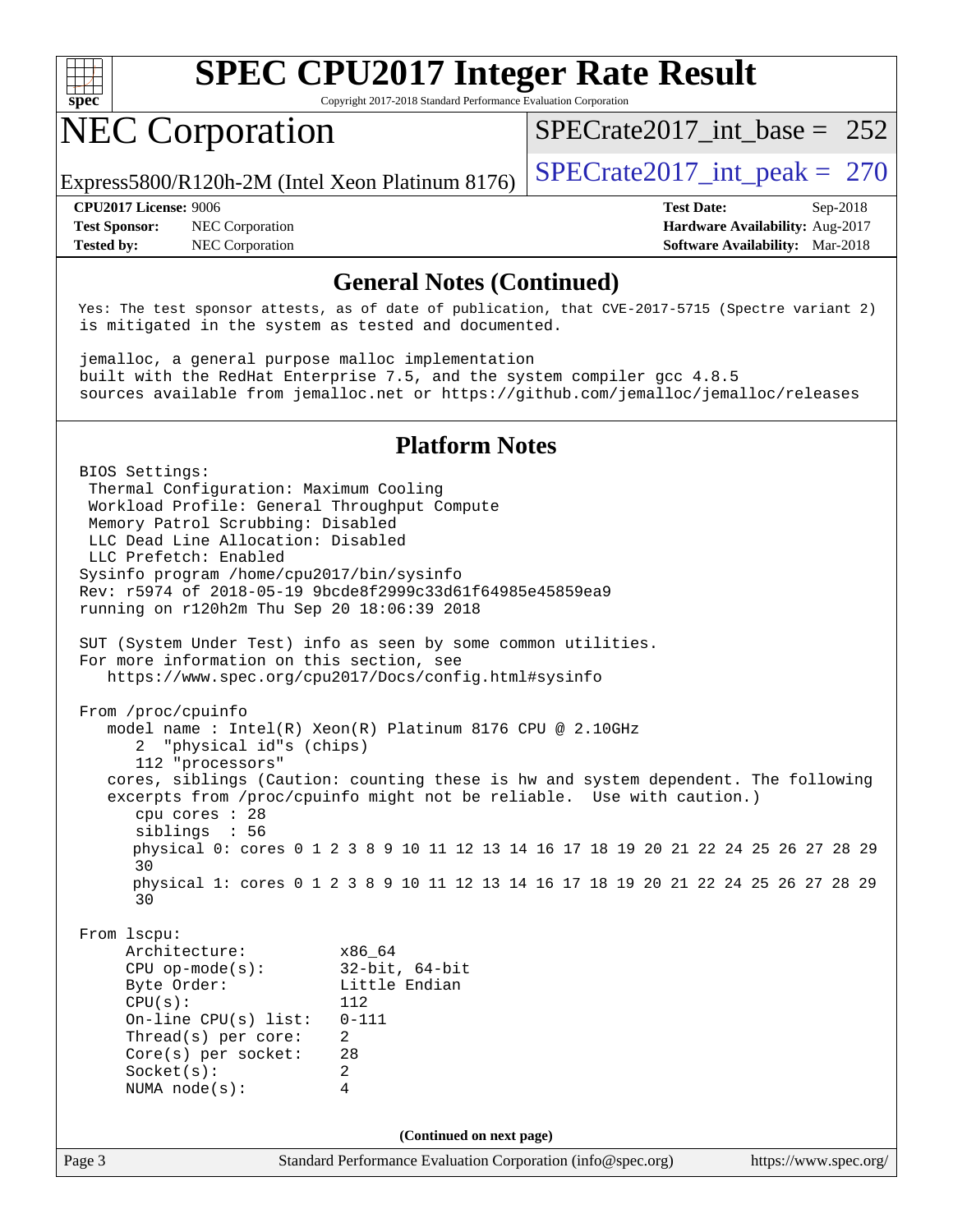

Copyright 2017-2018 Standard Performance Evaluation Corporation

# NEC Corporation

[SPECrate2017\\_int\\_base =](http://www.spec.org/auto/cpu2017/Docs/result-fields.html#SPECrate2017intbase) 252

Express5800/R120h-2M (Intel Xeon Platinum 8176) SPECrate  $2017$  int peak = 270

**[Test Sponsor:](http://www.spec.org/auto/cpu2017/Docs/result-fields.html#TestSponsor)** NEC Corporation **[Hardware Availability:](http://www.spec.org/auto/cpu2017/Docs/result-fields.html#HardwareAvailability)** Aug-2017 **[Tested by:](http://www.spec.org/auto/cpu2017/Docs/result-fields.html#Testedby)** NEC Corporation **[Software Availability:](http://www.spec.org/auto/cpu2017/Docs/result-fields.html#SoftwareAvailability)** Mar-2018

**[CPU2017 License:](http://www.spec.org/auto/cpu2017/Docs/result-fields.html#CPU2017License)** 9006 **[Test Date:](http://www.spec.org/auto/cpu2017/Docs/result-fields.html#TestDate)** Sep-2018

## **[General Notes \(Continued\)](http://www.spec.org/auto/cpu2017/Docs/result-fields.html#GeneralNotes)**

 Yes: The test sponsor attests, as of date of publication, that CVE-2017-5715 (Spectre variant 2) is mitigated in the system as tested and documented.

 jemalloc, a general purpose malloc implementation built with the RedHat Enterprise 7.5, and the system compiler gcc 4.8.5 sources available from jemalloc.net or <https://github.com/jemalloc/jemalloc/releases>

## **[Platform Notes](http://www.spec.org/auto/cpu2017/Docs/result-fields.html#PlatformNotes)**

Page 3 Standard Performance Evaluation Corporation [\(info@spec.org\)](mailto:info@spec.org) <https://www.spec.org/> BIOS Settings: Thermal Configuration: Maximum Cooling Workload Profile: General Throughput Compute Memory Patrol Scrubbing: Disabled LLC Dead Line Allocation: Disabled LLC Prefetch: Enabled Sysinfo program /home/cpu2017/bin/sysinfo Rev: r5974 of 2018-05-19 9bcde8f2999c33d61f64985e45859ea9 running on r120h2m Thu Sep 20 18:06:39 2018 SUT (System Under Test) info as seen by some common utilities. For more information on this section, see <https://www.spec.org/cpu2017/Docs/config.html#sysinfo> From /proc/cpuinfo model name : Intel(R) Xeon(R) Platinum 8176 CPU @ 2.10GHz 2 "physical id"s (chips) 112 "processors" cores, siblings (Caution: counting these is hw and system dependent. The following excerpts from /proc/cpuinfo might not be reliable. Use with caution.) cpu cores : 28 siblings : 56 physical 0: cores 0 1 2 3 8 9 10 11 12 13 14 16 17 18 19 20 21 22 24 25 26 27 28 29 30 physical 1: cores 0 1 2 3 8 9 10 11 12 13 14 16 17 18 19 20 21 22 24 25 26 27 28 29 30 From lscpu: Architecture: x86\_64 CPU op-mode(s): 32-bit, 64-bit Byte Order: Little Endian CPU(s): 112 On-line CPU(s) list: 0-111 Thread(s) per core: 2 Core(s) per socket: 28 Socket(s): 2 NUMA node(s): 4 **(Continued on next page)**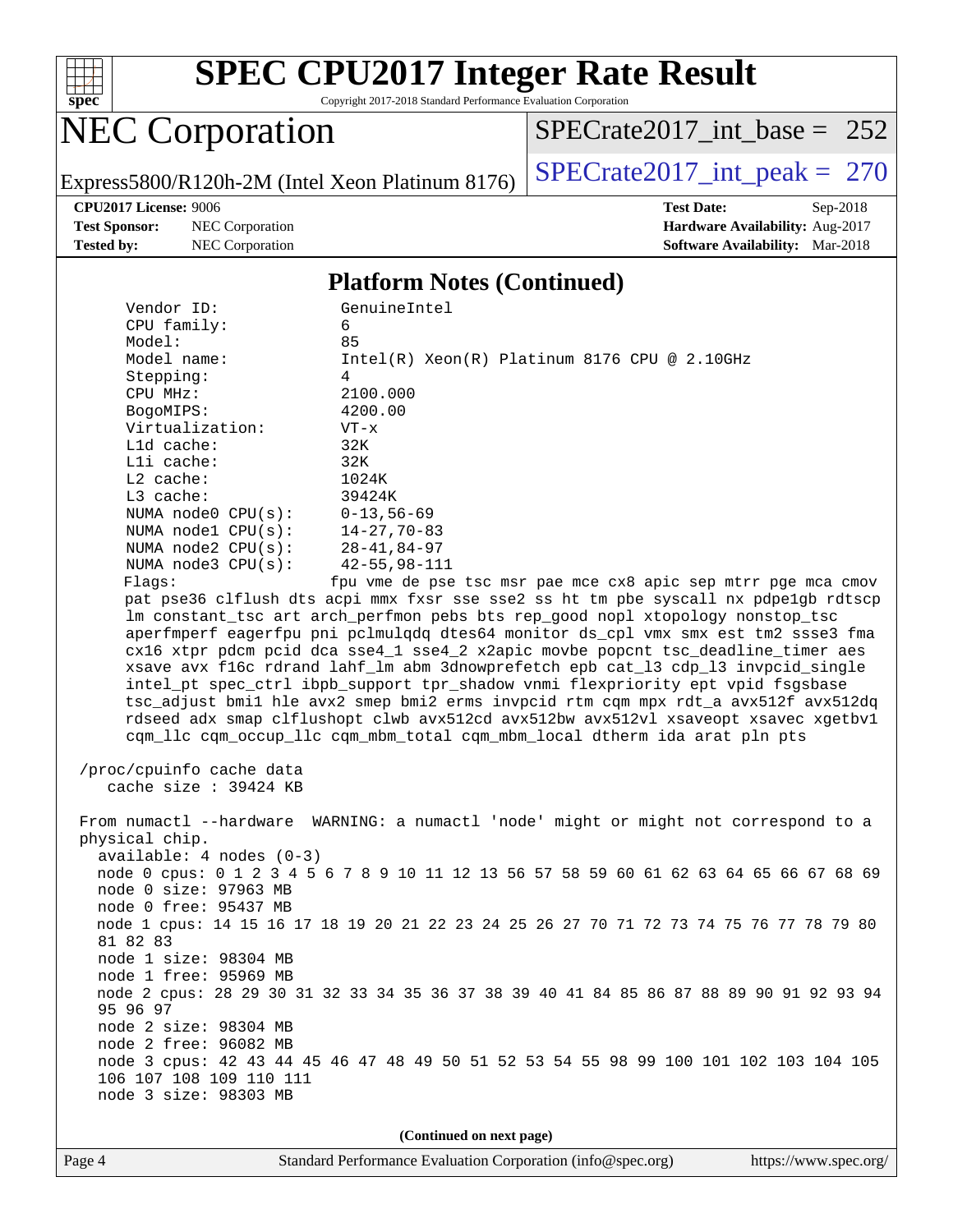

Copyright 2017-2018 Standard Performance Evaluation Corporation

# NEC Corporation

[SPECrate2017\\_int\\_base =](http://www.spec.org/auto/cpu2017/Docs/result-fields.html#SPECrate2017intbase) 252

Express5800/R120h-2M (Intel Xeon Platinum 8176) SPECrate  $2017$ \_int\_peak = 270

**[Test Sponsor:](http://www.spec.org/auto/cpu2017/Docs/result-fields.html#TestSponsor)** NEC Corporation **[Hardware Availability:](http://www.spec.org/auto/cpu2017/Docs/result-fields.html#HardwareAvailability)** Aug-2017 **[Tested by:](http://www.spec.org/auto/cpu2017/Docs/result-fields.html#Testedby)** NEC Corporation **[Software Availability:](http://www.spec.org/auto/cpu2017/Docs/result-fields.html#SoftwareAvailability)** Mar-2018

**[CPU2017 License:](http://www.spec.org/auto/cpu2017/Docs/result-fields.html#CPU2017License)** 9006 **[Test Date:](http://www.spec.org/auto/cpu2017/Docs/result-fields.html#TestDate)** Sep-2018

#### **[Platform Notes \(Continued\)](http://www.spec.org/auto/cpu2017/Docs/result-fields.html#PlatformNotes)**

| Vendor ID:                                        | GenuineIntel                                                                            |
|---------------------------------------------------|-----------------------------------------------------------------------------------------|
| CPU family:                                       | 6                                                                                       |
| Model:                                            | 85                                                                                      |
| Model name:                                       | $Intel(R) Xeon(R) Platinum 8176 CPU @ 2.10GHz$                                          |
| Stepping:<br>CPU MHz:                             | 4<br>2100.000                                                                           |
| BogoMIPS:                                         | 4200.00                                                                                 |
| Virtualization:                                   | $VT - x$                                                                                |
| Lld cache:                                        | 32K                                                                                     |
| Lli cache:                                        | 32K                                                                                     |
| $L2$ cache:                                       | 1024K                                                                                   |
| L3 cache:                                         | 39424K                                                                                  |
| NUMA node0 CPU(s):                                | $0 - 13, 56 - 69$                                                                       |
| NUMA nodel CPU(s):                                | 14-27,70-83                                                                             |
| NUMA $node2$ $CPU(s):$                            | $28 - 41, 84 - 97$                                                                      |
| NUMA $node3$ $CPU(s)$ :                           | $42 - 55, 98 - 111$                                                                     |
| Flags:                                            | fpu vme de pse tsc msr pae mce cx8 apic sep mtrr pge mca cmov                           |
|                                                   | pat pse36 clflush dts acpi mmx fxsr sse sse2 ss ht tm pbe syscall nx pdpe1gb rdtscp     |
|                                                   | lm constant_tsc art arch_perfmon pebs bts rep_good nopl xtopology nonstop_tsc           |
|                                                   | aperfmperf eagerfpu pni pclmulqdq dtes64 monitor ds_cpl vmx smx est tm2 ssse3 fma       |
|                                                   | cx16 xtpr pdcm pcid dca sse4_1 sse4_2 x2apic movbe popcnt tsc_deadline_timer aes        |
|                                                   | xsave avx f16c rdrand lahf_lm abm 3dnowprefetch epb cat_13 cdp_13 invpcid_single        |
|                                                   | intel_pt spec_ctrl ibpb_support tpr_shadow vnmi flexpriority ept vpid fsgsbase          |
|                                                   | tsc_adjust bmil hle avx2 smep bmi2 erms invpcid rtm cqm mpx rdt_a avx512f avx512dq      |
|                                                   | rdseed adx smap clflushopt clwb avx512cd avx512bw avx512vl xsaveopt xsavec xgetbvl      |
|                                                   | cqm_llc cqm_occup_llc cqm_mbm_total cqm_mbm_local dtherm ida arat pln pts               |
|                                                   |                                                                                         |
| /proc/cpuinfo cache data<br>cache size : 39424 KB |                                                                                         |
|                                                   |                                                                                         |
|                                                   | From numactl --hardware WARNING: a numactl 'node' might or might not correspond to a    |
| physical chip.                                    |                                                                                         |
| $available: 4 nodes (0-3)$                        |                                                                                         |
|                                                   | node 0 cpus: 0 1 2 3 4 5 6 7 8 9 10 11 12 13 56 57 58 59 60 61 62 63 64 65 66 67 68 69  |
| node 0 size: 97963 MB                             |                                                                                         |
| node 0 free: 95437 MB                             |                                                                                         |
|                                                   | node 1 cpus: 14 15 16 17 18 19 20 21 22 23 24 25 26 27 70 71 72 73 74 75 76 77 78 79 80 |
| 81 82 83                                          |                                                                                         |
| node 1 size: 98304 MB                             |                                                                                         |
| node 1 free: 95969 MB                             |                                                                                         |
|                                                   | node 2 cpus: 28 29 30 31 32 33 34 35 36 37 38 39 40 41 84 85 86 87 88 89 90 91 92 93 94 |
| 95 96 97                                          |                                                                                         |
| node 2 size: 98304 MB                             |                                                                                         |
| node 2 free: 96082 MB                             |                                                                                         |
|                                                   | node 3 cpus: 42 43 44 45 46 47 48 49 50 51 52 53 54 55 98 99 100 101 102 103 104 105    |
| 106 107 108 109 110 111                           |                                                                                         |
| node 3 size: 98303 MB                             |                                                                                         |
|                                                   |                                                                                         |
|                                                   | (Continued on next page)                                                                |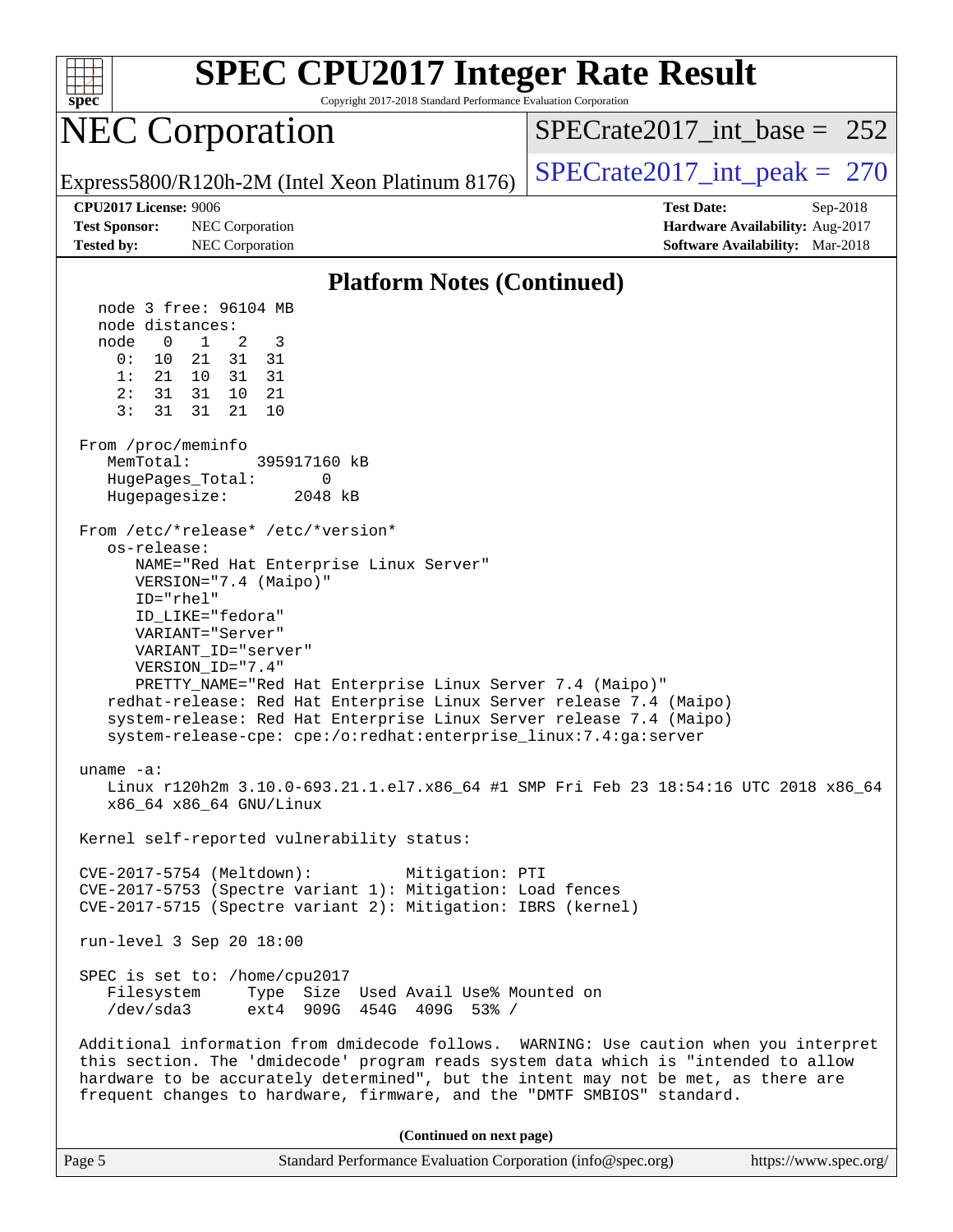

| Page 5 | Standard Performance Evaluation Corporation (info@spec.org) | https://www.spec.org/ |
|--------|-------------------------------------------------------------|-----------------------|
|--------|-------------------------------------------------------------|-----------------------|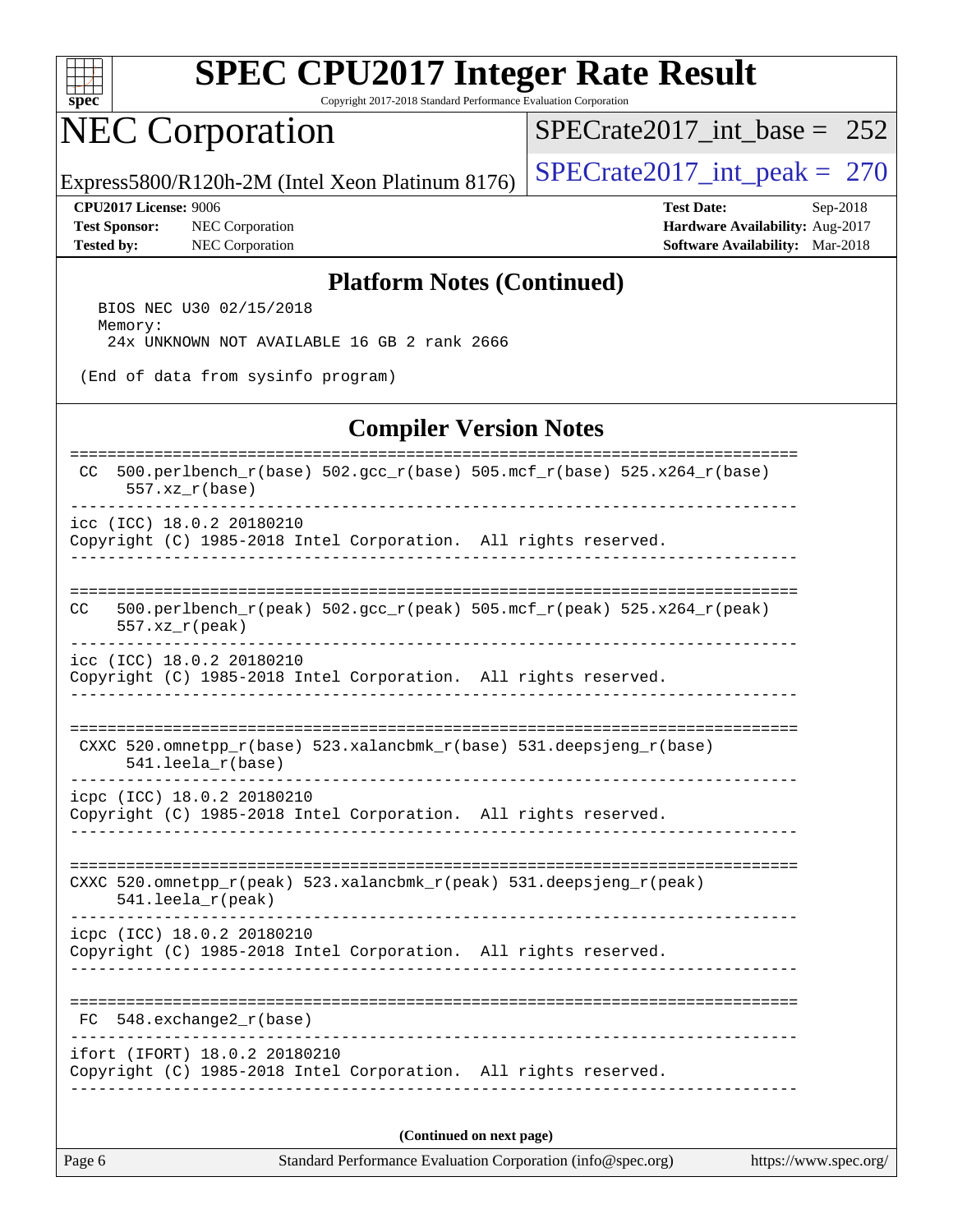

Copyright 2017-2018 Standard Performance Evaluation Corporation

# NEC Corporation

[SPECrate2017\\_int\\_base =](http://www.spec.org/auto/cpu2017/Docs/result-fields.html#SPECrate2017intbase) 252

Express5800/R120h-2M (Intel Xeon Platinum 8176) SPECrate  $2017$ \_int\_peak = 270

**[Test Sponsor:](http://www.spec.org/auto/cpu2017/Docs/result-fields.html#TestSponsor)** NEC Corporation **[Hardware Availability:](http://www.spec.org/auto/cpu2017/Docs/result-fields.html#HardwareAvailability)** Aug-2017 **[Tested by:](http://www.spec.org/auto/cpu2017/Docs/result-fields.html#Testedby)** NEC Corporation **[Software Availability:](http://www.spec.org/auto/cpu2017/Docs/result-fields.html#SoftwareAvailability)** Mar-2018

**[CPU2017 License:](http://www.spec.org/auto/cpu2017/Docs/result-fields.html#CPU2017License)** 9006 **[Test Date:](http://www.spec.org/auto/cpu2017/Docs/result-fields.html#TestDate)** Sep-2018

#### **[Platform Notes \(Continued\)](http://www.spec.org/auto/cpu2017/Docs/result-fields.html#PlatformNotes)**

 BIOS NEC U30 02/15/2018 Memory: 24x UNKNOWN NOT AVAILABLE 16 GB 2 rank 2666

(End of data from sysinfo program)

#### **[Compiler Version Notes](http://www.spec.org/auto/cpu2017/Docs/result-fields.html#CompilerVersionNotes)**

| 500.perlbench_r(base) 502.gcc_r(base) 505.mcf_r(base) 525.x264_r(base)<br>CC.<br>$557. xz_r(base)$  |  |  |  |  |  |  |
|-----------------------------------------------------------------------------------------------------|--|--|--|--|--|--|
| icc (ICC) 18.0.2 20180210<br>Copyright (C) 1985-2018 Intel Corporation. All rights reserved.        |  |  |  |  |  |  |
| 500.perlbench_r(peak) 502.gcc_r(peak) 505.mcf_r(peak) 525.x264_r(peak)<br>CC.<br>$557. xz_r (peak)$ |  |  |  |  |  |  |
| icc (ICC) 18.0.2 20180210<br>Copyright (C) 1985-2018 Intel Corporation. All rights reserved.        |  |  |  |  |  |  |
| CXXC 520.omnetpp_r(base) 523.xalancbmk_r(base) 531.deepsjeng_r(base)<br>$541.$ leela $r(base)$      |  |  |  |  |  |  |
| icpc (ICC) 18.0.2 20180210<br>Copyright (C) 1985-2018 Intel Corporation. All rights reserved.       |  |  |  |  |  |  |
| CXXC 520.omnetpp_r(peak) 523.xalancbmk_r(peak) 531.deepsjeng_r(peak)<br>541.leela_r(peak)           |  |  |  |  |  |  |
| icpc (ICC) 18.0.2 20180210<br>Copyright (C) 1985-2018 Intel Corporation. All rights reserved.       |  |  |  |  |  |  |
| $FC 548. exchange2_r(base)$                                                                         |  |  |  |  |  |  |
| ifort (IFORT) 18.0.2 20180210<br>Copyright (C) 1985-2018 Intel Corporation. All rights reserved.    |  |  |  |  |  |  |
| (Continued on next page)                                                                            |  |  |  |  |  |  |

Page 6 Standard Performance Evaluation Corporation [\(info@spec.org\)](mailto:info@spec.org) <https://www.spec.org/>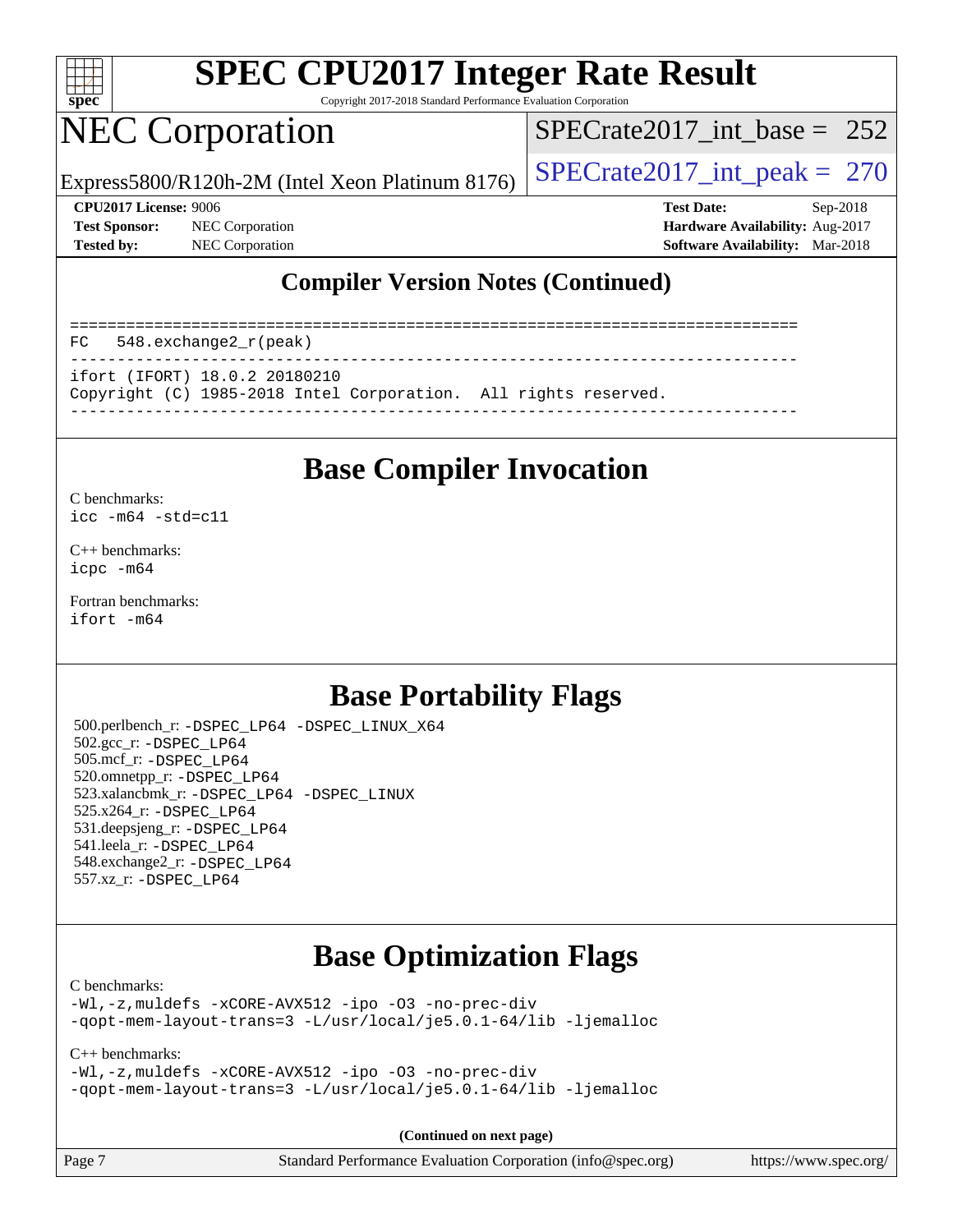

Copyright 2017-2018 Standard Performance Evaluation Corporation

## NEC Corporation

[SPECrate2017\\_int\\_base =](http://www.spec.org/auto/cpu2017/Docs/result-fields.html#SPECrate2017intbase) 252

Express5800/R120h-2M (Intel Xeon Platinum 8176)  $\left|$  [SPECrate2017\\_int\\_peak =](http://www.spec.org/auto/cpu2017/Docs/result-fields.html#SPECrate2017intpeak) 270

**[Test Sponsor:](http://www.spec.org/auto/cpu2017/Docs/result-fields.html#TestSponsor)** NEC Corporation **[Hardware Availability:](http://www.spec.org/auto/cpu2017/Docs/result-fields.html#HardwareAvailability)** Aug-2017 **[Tested by:](http://www.spec.org/auto/cpu2017/Docs/result-fields.html#Testedby)** NEC Corporation **[Software Availability:](http://www.spec.org/auto/cpu2017/Docs/result-fields.html#SoftwareAvailability)** Mar-2018

**[CPU2017 License:](http://www.spec.org/auto/cpu2017/Docs/result-fields.html#CPU2017License)** 9006 **[Test Date:](http://www.spec.org/auto/cpu2017/Docs/result-fields.html#TestDate)** Sep-2018

## **[Compiler Version Notes \(Continued\)](http://www.spec.org/auto/cpu2017/Docs/result-fields.html#CompilerVersionNotes)**

============================================================================== FC 548.exchange2\_r(peak) ----------------------------------------------------------------------------- ifort (IFORT) 18.0.2 20180210 Copyright (C) 1985-2018 Intel Corporation. All rights reserved. ------------------------------------------------------------------------------

## **[Base Compiler Invocation](http://www.spec.org/auto/cpu2017/Docs/result-fields.html#BaseCompilerInvocation)**

#### [C benchmarks](http://www.spec.org/auto/cpu2017/Docs/result-fields.html#Cbenchmarks): [icc -m64 -std=c11](http://www.spec.org/cpu2017/results/res2018q4/cpu2017-20181001-08968.flags.html#user_CCbase_intel_icc_64bit_c11_33ee0cdaae7deeeab2a9725423ba97205ce30f63b9926c2519791662299b76a0318f32ddfffdc46587804de3178b4f9328c46fa7c2b0cd779d7a61945c91cd35)

[C++ benchmarks:](http://www.spec.org/auto/cpu2017/Docs/result-fields.html#CXXbenchmarks) [icpc -m64](http://www.spec.org/cpu2017/results/res2018q4/cpu2017-20181001-08968.flags.html#user_CXXbase_intel_icpc_64bit_4ecb2543ae3f1412ef961e0650ca070fec7b7afdcd6ed48761b84423119d1bf6bdf5cad15b44d48e7256388bc77273b966e5eb805aefd121eb22e9299b2ec9d9)

[Fortran benchmarks](http://www.spec.org/auto/cpu2017/Docs/result-fields.html#Fortranbenchmarks): [ifort -m64](http://www.spec.org/cpu2017/results/res2018q4/cpu2017-20181001-08968.flags.html#user_FCbase_intel_ifort_64bit_24f2bb282fbaeffd6157abe4f878425411749daecae9a33200eee2bee2fe76f3b89351d69a8130dd5949958ce389cf37ff59a95e7a40d588e8d3a57e0c3fd751)

## **[Base Portability Flags](http://www.spec.org/auto/cpu2017/Docs/result-fields.html#BasePortabilityFlags)**

 500.perlbench\_r: [-DSPEC\\_LP64](http://www.spec.org/cpu2017/results/res2018q4/cpu2017-20181001-08968.flags.html#b500.perlbench_r_basePORTABILITY_DSPEC_LP64) [-DSPEC\\_LINUX\\_X64](http://www.spec.org/cpu2017/results/res2018q4/cpu2017-20181001-08968.flags.html#b500.perlbench_r_baseCPORTABILITY_DSPEC_LINUX_X64) 502.gcc\_r: [-DSPEC\\_LP64](http://www.spec.org/cpu2017/results/res2018q4/cpu2017-20181001-08968.flags.html#suite_basePORTABILITY502_gcc_r_DSPEC_LP64) 505.mcf\_r: [-DSPEC\\_LP64](http://www.spec.org/cpu2017/results/res2018q4/cpu2017-20181001-08968.flags.html#suite_basePORTABILITY505_mcf_r_DSPEC_LP64) 520.omnetpp\_r: [-DSPEC\\_LP64](http://www.spec.org/cpu2017/results/res2018q4/cpu2017-20181001-08968.flags.html#suite_basePORTABILITY520_omnetpp_r_DSPEC_LP64) 523.xalancbmk\_r: [-DSPEC\\_LP64](http://www.spec.org/cpu2017/results/res2018q4/cpu2017-20181001-08968.flags.html#suite_basePORTABILITY523_xalancbmk_r_DSPEC_LP64) [-DSPEC\\_LINUX](http://www.spec.org/cpu2017/results/res2018q4/cpu2017-20181001-08968.flags.html#b523.xalancbmk_r_baseCXXPORTABILITY_DSPEC_LINUX) 525.x264\_r: [-DSPEC\\_LP64](http://www.spec.org/cpu2017/results/res2018q4/cpu2017-20181001-08968.flags.html#suite_basePORTABILITY525_x264_r_DSPEC_LP64) 531.deepsjeng\_r: [-DSPEC\\_LP64](http://www.spec.org/cpu2017/results/res2018q4/cpu2017-20181001-08968.flags.html#suite_basePORTABILITY531_deepsjeng_r_DSPEC_LP64) 541.leela\_r: [-DSPEC\\_LP64](http://www.spec.org/cpu2017/results/res2018q4/cpu2017-20181001-08968.flags.html#suite_basePORTABILITY541_leela_r_DSPEC_LP64) 548.exchange2\_r: [-DSPEC\\_LP64](http://www.spec.org/cpu2017/results/res2018q4/cpu2017-20181001-08968.flags.html#suite_basePORTABILITY548_exchange2_r_DSPEC_LP64) 557.xz\_r: [-DSPEC\\_LP64](http://www.spec.org/cpu2017/results/res2018q4/cpu2017-20181001-08968.flags.html#suite_basePORTABILITY557_xz_r_DSPEC_LP64)

## **[Base Optimization Flags](http://www.spec.org/auto/cpu2017/Docs/result-fields.html#BaseOptimizationFlags)**

#### [C benchmarks](http://www.spec.org/auto/cpu2017/Docs/result-fields.html#Cbenchmarks):

[-Wl,-z,muldefs](http://www.spec.org/cpu2017/results/res2018q4/cpu2017-20181001-08968.flags.html#user_CCbase_link_force_multiple1_b4cbdb97b34bdee9ceefcfe54f4c8ea74255f0b02a4b23e853cdb0e18eb4525ac79b5a88067c842dd0ee6996c24547a27a4b99331201badda8798ef8a743f577) [-xCORE-AVX512](http://www.spec.org/cpu2017/results/res2018q4/cpu2017-20181001-08968.flags.html#user_CCbase_f-xCORE-AVX512) [-ipo](http://www.spec.org/cpu2017/results/res2018q4/cpu2017-20181001-08968.flags.html#user_CCbase_f-ipo) [-O3](http://www.spec.org/cpu2017/results/res2018q4/cpu2017-20181001-08968.flags.html#user_CCbase_f-O3) [-no-prec-div](http://www.spec.org/cpu2017/results/res2018q4/cpu2017-20181001-08968.flags.html#user_CCbase_f-no-prec-div) [-qopt-mem-layout-trans=3](http://www.spec.org/cpu2017/results/res2018q4/cpu2017-20181001-08968.flags.html#user_CCbase_f-qopt-mem-layout-trans_de80db37974c74b1f0e20d883f0b675c88c3b01e9d123adea9b28688d64333345fb62bc4a798493513fdb68f60282f9a726aa07f478b2f7113531aecce732043) [-L/usr/local/je5.0.1-64/lib](http://www.spec.org/cpu2017/results/res2018q4/cpu2017-20181001-08968.flags.html#user_CCbase_jemalloc_link_path64_4b10a636b7bce113509b17f3bd0d6226c5fb2346b9178c2d0232c14f04ab830f976640479e5c33dc2bcbbdad86ecfb6634cbbd4418746f06f368b512fced5394) [-ljemalloc](http://www.spec.org/cpu2017/results/res2018q4/cpu2017-20181001-08968.flags.html#user_CCbase_jemalloc_link_lib_d1249b907c500fa1c0672f44f562e3d0f79738ae9e3c4a9c376d49f265a04b9c99b167ecedbf6711b3085be911c67ff61f150a17b3472be731631ba4d0471706)

[C++ benchmarks:](http://www.spec.org/auto/cpu2017/Docs/result-fields.html#CXXbenchmarks)

[-Wl,-z,muldefs](http://www.spec.org/cpu2017/results/res2018q4/cpu2017-20181001-08968.flags.html#user_CXXbase_link_force_multiple1_b4cbdb97b34bdee9ceefcfe54f4c8ea74255f0b02a4b23e853cdb0e18eb4525ac79b5a88067c842dd0ee6996c24547a27a4b99331201badda8798ef8a743f577) [-xCORE-AVX512](http://www.spec.org/cpu2017/results/res2018q4/cpu2017-20181001-08968.flags.html#user_CXXbase_f-xCORE-AVX512) [-ipo](http://www.spec.org/cpu2017/results/res2018q4/cpu2017-20181001-08968.flags.html#user_CXXbase_f-ipo) [-O3](http://www.spec.org/cpu2017/results/res2018q4/cpu2017-20181001-08968.flags.html#user_CXXbase_f-O3) [-no-prec-div](http://www.spec.org/cpu2017/results/res2018q4/cpu2017-20181001-08968.flags.html#user_CXXbase_f-no-prec-div) [-qopt-mem-layout-trans=3](http://www.spec.org/cpu2017/results/res2018q4/cpu2017-20181001-08968.flags.html#user_CXXbase_f-qopt-mem-layout-trans_de80db37974c74b1f0e20d883f0b675c88c3b01e9d123adea9b28688d64333345fb62bc4a798493513fdb68f60282f9a726aa07f478b2f7113531aecce732043) [-L/usr/local/je5.0.1-64/lib](http://www.spec.org/cpu2017/results/res2018q4/cpu2017-20181001-08968.flags.html#user_CXXbase_jemalloc_link_path64_4b10a636b7bce113509b17f3bd0d6226c5fb2346b9178c2d0232c14f04ab830f976640479e5c33dc2bcbbdad86ecfb6634cbbd4418746f06f368b512fced5394) [-ljemalloc](http://www.spec.org/cpu2017/results/res2018q4/cpu2017-20181001-08968.flags.html#user_CXXbase_jemalloc_link_lib_d1249b907c500fa1c0672f44f562e3d0f79738ae9e3c4a9c376d49f265a04b9c99b167ecedbf6711b3085be911c67ff61f150a17b3472be731631ba4d0471706)

**(Continued on next page)**

Page 7 Standard Performance Evaluation Corporation [\(info@spec.org\)](mailto:info@spec.org) <https://www.spec.org/>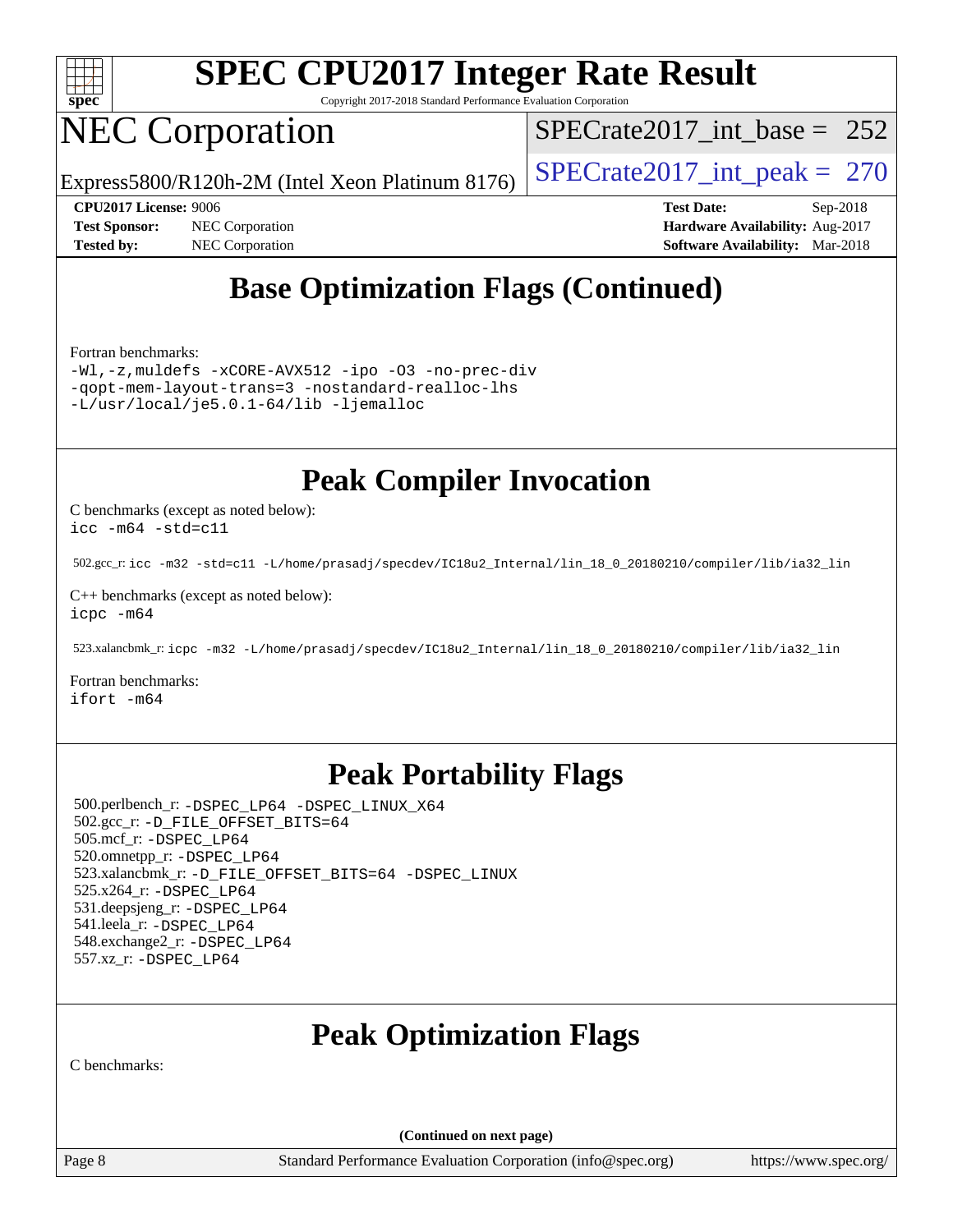

Copyright 2017-2018 Standard Performance Evaluation Corporation

# NEC Corporation

[SPECrate2017\\_int\\_base =](http://www.spec.org/auto/cpu2017/Docs/result-fields.html#SPECrate2017intbase) 252

Express5800/R120h-2M (Intel Xeon Platinum 8176) SPECrate  $2017$  int peak = 270

**[Test Sponsor:](http://www.spec.org/auto/cpu2017/Docs/result-fields.html#TestSponsor)** NEC Corporation **[Hardware Availability:](http://www.spec.org/auto/cpu2017/Docs/result-fields.html#HardwareAvailability)** Aug-2017 **[Tested by:](http://www.spec.org/auto/cpu2017/Docs/result-fields.html#Testedby)** NEC Corporation **[Software Availability:](http://www.spec.org/auto/cpu2017/Docs/result-fields.html#SoftwareAvailability)** Mar-2018

**[CPU2017 License:](http://www.spec.org/auto/cpu2017/Docs/result-fields.html#CPU2017License)** 9006 **[Test Date:](http://www.spec.org/auto/cpu2017/Docs/result-fields.html#TestDate)** Sep-2018

## **[Base Optimization Flags \(Continued\)](http://www.spec.org/auto/cpu2017/Docs/result-fields.html#BaseOptimizationFlags)**

[Fortran benchmarks](http://www.spec.org/auto/cpu2017/Docs/result-fields.html#Fortranbenchmarks):

[-Wl,-z,muldefs](http://www.spec.org/cpu2017/results/res2018q4/cpu2017-20181001-08968.flags.html#user_FCbase_link_force_multiple1_b4cbdb97b34bdee9ceefcfe54f4c8ea74255f0b02a4b23e853cdb0e18eb4525ac79b5a88067c842dd0ee6996c24547a27a4b99331201badda8798ef8a743f577) [-xCORE-AVX512](http://www.spec.org/cpu2017/results/res2018q4/cpu2017-20181001-08968.flags.html#user_FCbase_f-xCORE-AVX512) [-ipo](http://www.spec.org/cpu2017/results/res2018q4/cpu2017-20181001-08968.flags.html#user_FCbase_f-ipo) [-O3](http://www.spec.org/cpu2017/results/res2018q4/cpu2017-20181001-08968.flags.html#user_FCbase_f-O3) [-no-prec-div](http://www.spec.org/cpu2017/results/res2018q4/cpu2017-20181001-08968.flags.html#user_FCbase_f-no-prec-div) [-qopt-mem-layout-trans=3](http://www.spec.org/cpu2017/results/res2018q4/cpu2017-20181001-08968.flags.html#user_FCbase_f-qopt-mem-layout-trans_de80db37974c74b1f0e20d883f0b675c88c3b01e9d123adea9b28688d64333345fb62bc4a798493513fdb68f60282f9a726aa07f478b2f7113531aecce732043) [-nostandard-realloc-lhs](http://www.spec.org/cpu2017/results/res2018q4/cpu2017-20181001-08968.flags.html#user_FCbase_f_2003_std_realloc_82b4557e90729c0f113870c07e44d33d6f5a304b4f63d4c15d2d0f1fab99f5daaed73bdb9275d9ae411527f28b936061aa8b9c8f2d63842963b95c9dd6426b8a) [-L/usr/local/je5.0.1-64/lib](http://www.spec.org/cpu2017/results/res2018q4/cpu2017-20181001-08968.flags.html#user_FCbase_jemalloc_link_path64_4b10a636b7bce113509b17f3bd0d6226c5fb2346b9178c2d0232c14f04ab830f976640479e5c33dc2bcbbdad86ecfb6634cbbd4418746f06f368b512fced5394) [-ljemalloc](http://www.spec.org/cpu2017/results/res2018q4/cpu2017-20181001-08968.flags.html#user_FCbase_jemalloc_link_lib_d1249b907c500fa1c0672f44f562e3d0f79738ae9e3c4a9c376d49f265a04b9c99b167ecedbf6711b3085be911c67ff61f150a17b3472be731631ba4d0471706)

## **[Peak Compiler Invocation](http://www.spec.org/auto/cpu2017/Docs/result-fields.html#PeakCompilerInvocation)**

[C benchmarks \(except as noted below\)](http://www.spec.org/auto/cpu2017/Docs/result-fields.html#Cbenchmarksexceptasnotedbelow): [icc -m64 -std=c11](http://www.spec.org/cpu2017/results/res2018q4/cpu2017-20181001-08968.flags.html#user_CCpeak_intel_icc_64bit_c11_33ee0cdaae7deeeab2a9725423ba97205ce30f63b9926c2519791662299b76a0318f32ddfffdc46587804de3178b4f9328c46fa7c2b0cd779d7a61945c91cd35)

502.gcc\_r: [icc -m32 -std=c11 -L/home/prasadj/specdev/IC18u2\\_Internal/lin\\_18\\_0\\_20180210/compiler/lib/ia32\\_lin](http://www.spec.org/cpu2017/results/res2018q4/cpu2017-20181001-08968.flags.html#user_peakCCLD502_gcc_r_intel_icc_a481ac844e7127046fad14d498c730a1848fa901fbbb2c3dfdd5e9fbbac777c8009953946d55d8b6afe8ed0da70dd2b4f8dedbdf7ab1ee211ba70d24a5d89f85)

[C++ benchmarks \(except as noted below\):](http://www.spec.org/auto/cpu2017/Docs/result-fields.html#CXXbenchmarksexceptasnotedbelow) [icpc -m64](http://www.spec.org/cpu2017/results/res2018q4/cpu2017-20181001-08968.flags.html#user_CXXpeak_intel_icpc_64bit_4ecb2543ae3f1412ef961e0650ca070fec7b7afdcd6ed48761b84423119d1bf6bdf5cad15b44d48e7256388bc77273b966e5eb805aefd121eb22e9299b2ec9d9)

523.xalancbmk\_r: [icpc -m32 -L/home/prasadj/specdev/IC18u2\\_Internal/lin\\_18\\_0\\_20180210/compiler/lib/ia32\\_lin](http://www.spec.org/cpu2017/results/res2018q4/cpu2017-20181001-08968.flags.html#user_peakCXXLD523_xalancbmk_r_intel_icpc_c6d030cd79af6ea7d6fb64c57e8fe7ae8fe0b96fc5a3b3f4a10e3273b3d7fa9decd8263f6330cef23f751cb093a69fae84a2bf4c243500a8eed069248128076f)

[Fortran benchmarks](http://www.spec.org/auto/cpu2017/Docs/result-fields.html#Fortranbenchmarks): [ifort -m64](http://www.spec.org/cpu2017/results/res2018q4/cpu2017-20181001-08968.flags.html#user_FCpeak_intel_ifort_64bit_24f2bb282fbaeffd6157abe4f878425411749daecae9a33200eee2bee2fe76f3b89351d69a8130dd5949958ce389cf37ff59a95e7a40d588e8d3a57e0c3fd751)

## **[Peak Portability Flags](http://www.spec.org/auto/cpu2017/Docs/result-fields.html#PeakPortabilityFlags)**

 500.perlbench\_r: [-DSPEC\\_LP64](http://www.spec.org/cpu2017/results/res2018q4/cpu2017-20181001-08968.flags.html#b500.perlbench_r_peakPORTABILITY_DSPEC_LP64) [-DSPEC\\_LINUX\\_X64](http://www.spec.org/cpu2017/results/res2018q4/cpu2017-20181001-08968.flags.html#b500.perlbench_r_peakCPORTABILITY_DSPEC_LINUX_X64) 502.gcc\_r: [-D\\_FILE\\_OFFSET\\_BITS=64](http://www.spec.org/cpu2017/results/res2018q4/cpu2017-20181001-08968.flags.html#user_peakPORTABILITY502_gcc_r_file_offset_bits_64_5ae949a99b284ddf4e95728d47cb0843d81b2eb0e18bdfe74bbf0f61d0b064f4bda2f10ea5eb90e1dcab0e84dbc592acfc5018bc955c18609f94ddb8d550002c) 505.mcf\_r: [-DSPEC\\_LP64](http://www.spec.org/cpu2017/results/res2018q4/cpu2017-20181001-08968.flags.html#suite_peakPORTABILITY505_mcf_r_DSPEC_LP64) 520.omnetpp\_r: [-DSPEC\\_LP64](http://www.spec.org/cpu2017/results/res2018q4/cpu2017-20181001-08968.flags.html#suite_peakPORTABILITY520_omnetpp_r_DSPEC_LP64) 523.xalancbmk\_r: [-D\\_FILE\\_OFFSET\\_BITS=64](http://www.spec.org/cpu2017/results/res2018q4/cpu2017-20181001-08968.flags.html#user_peakPORTABILITY523_xalancbmk_r_file_offset_bits_64_5ae949a99b284ddf4e95728d47cb0843d81b2eb0e18bdfe74bbf0f61d0b064f4bda2f10ea5eb90e1dcab0e84dbc592acfc5018bc955c18609f94ddb8d550002c) [-DSPEC\\_LINUX](http://www.spec.org/cpu2017/results/res2018q4/cpu2017-20181001-08968.flags.html#b523.xalancbmk_r_peakCXXPORTABILITY_DSPEC_LINUX) 525.x264\_r: [-DSPEC\\_LP64](http://www.spec.org/cpu2017/results/res2018q4/cpu2017-20181001-08968.flags.html#suite_peakPORTABILITY525_x264_r_DSPEC_LP64) 531.deepsjeng\_r: [-DSPEC\\_LP64](http://www.spec.org/cpu2017/results/res2018q4/cpu2017-20181001-08968.flags.html#suite_peakPORTABILITY531_deepsjeng_r_DSPEC_LP64) 541.leela\_r: [-DSPEC\\_LP64](http://www.spec.org/cpu2017/results/res2018q4/cpu2017-20181001-08968.flags.html#suite_peakPORTABILITY541_leela_r_DSPEC_LP64) 548.exchange2\_r: [-DSPEC\\_LP64](http://www.spec.org/cpu2017/results/res2018q4/cpu2017-20181001-08968.flags.html#suite_peakPORTABILITY548_exchange2_r_DSPEC_LP64) 557.xz\_r: [-DSPEC\\_LP64](http://www.spec.org/cpu2017/results/res2018q4/cpu2017-20181001-08968.flags.html#suite_peakPORTABILITY557_xz_r_DSPEC_LP64)

## **[Peak Optimization Flags](http://www.spec.org/auto/cpu2017/Docs/result-fields.html#PeakOptimizationFlags)**

[C benchmarks](http://www.spec.org/auto/cpu2017/Docs/result-fields.html#Cbenchmarks):

**(Continued on next page)**

Page 8 Standard Performance Evaluation Corporation [\(info@spec.org\)](mailto:info@spec.org) <https://www.spec.org/>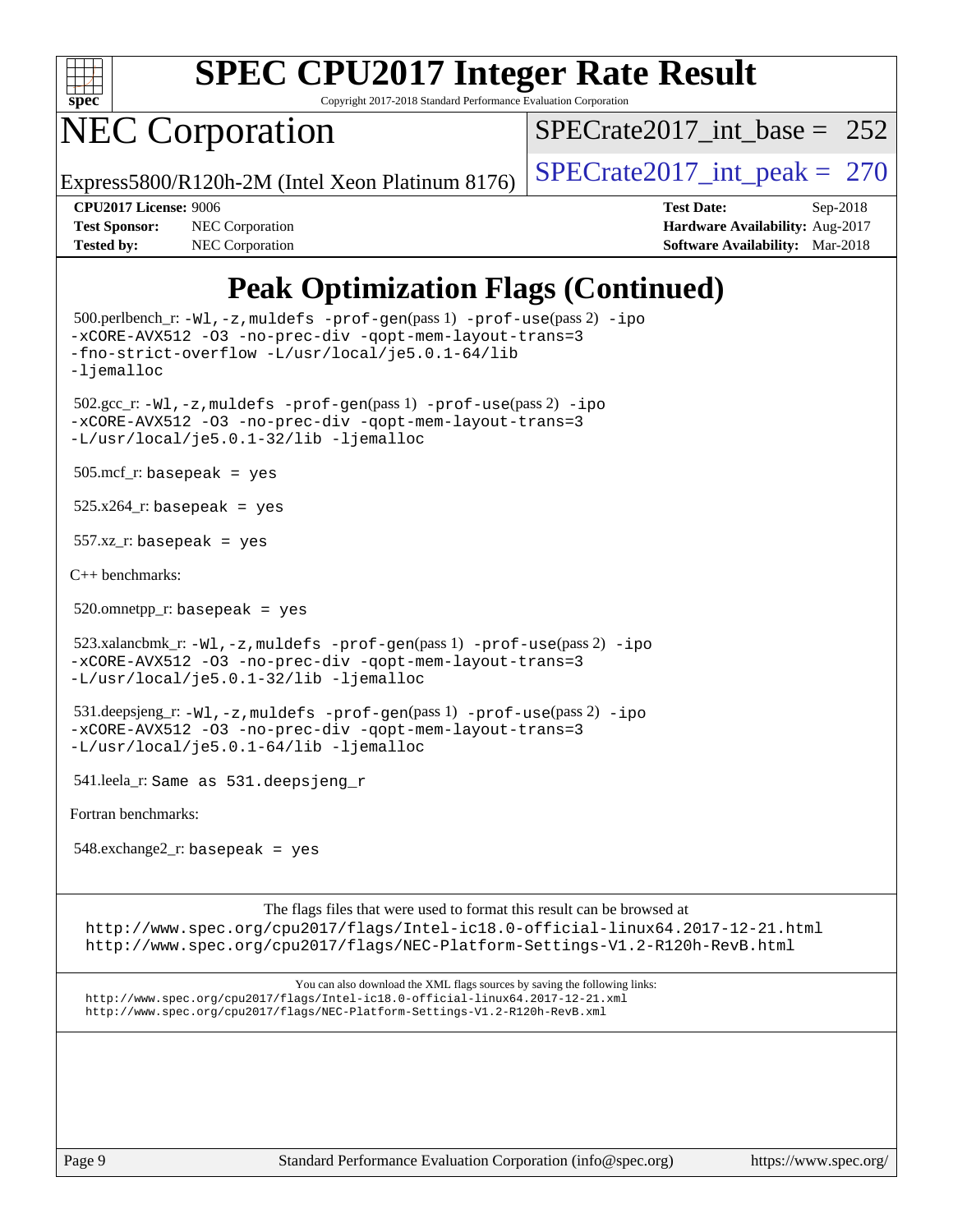

Copyright 2017-2018 Standard Performance Evaluation Corporation

# NEC Corporation

[SPECrate2017\\_int\\_base =](http://www.spec.org/auto/cpu2017/Docs/result-fields.html#SPECrate2017intbase) 252

Express5800/R120h-2M (Intel Xeon Platinum 8176) SPECrate  $2017$  int peak = 270

**[Tested by:](http://www.spec.org/auto/cpu2017/Docs/result-fields.html#Testedby)** NEC Corporation **[Software Availability:](http://www.spec.org/auto/cpu2017/Docs/result-fields.html#SoftwareAvailability)** Mar-2018

**[CPU2017 License:](http://www.spec.org/auto/cpu2017/Docs/result-fields.html#CPU2017License)** 9006 **[Test Date:](http://www.spec.org/auto/cpu2017/Docs/result-fields.html#TestDate)** Sep-2018 **[Test Sponsor:](http://www.spec.org/auto/cpu2017/Docs/result-fields.html#TestSponsor)** NEC Corporation **[Hardware Availability:](http://www.spec.org/auto/cpu2017/Docs/result-fields.html#HardwareAvailability)** Aug-2017

## **[Peak Optimization Flags \(Continued\)](http://www.spec.org/auto/cpu2017/Docs/result-fields.html#PeakOptimizationFlags)**

 500.perlbench\_r: [-Wl,-z,muldefs](http://www.spec.org/cpu2017/results/res2018q4/cpu2017-20181001-08968.flags.html#user_peakEXTRA_LDFLAGS500_perlbench_r_link_force_multiple1_b4cbdb97b34bdee9ceefcfe54f4c8ea74255f0b02a4b23e853cdb0e18eb4525ac79b5a88067c842dd0ee6996c24547a27a4b99331201badda8798ef8a743f577) [-prof-gen](http://www.spec.org/cpu2017/results/res2018q4/cpu2017-20181001-08968.flags.html#user_peakPASS1_CFLAGSPASS1_LDFLAGS500_perlbench_r_prof_gen_5aa4926d6013ddb2a31985c654b3eb18169fc0c6952a63635c234f711e6e63dd76e94ad52365559451ec499a2cdb89e4dc58ba4c67ef54ca681ffbe1461d6b36)(pass 1) [-prof-use](http://www.spec.org/cpu2017/results/res2018q4/cpu2017-20181001-08968.flags.html#user_peakPASS2_CFLAGSPASS2_LDFLAGS500_perlbench_r_prof_use_1a21ceae95f36a2b53c25747139a6c16ca95bd9def2a207b4f0849963b97e94f5260e30a0c64f4bb623698870e679ca08317ef8150905d41bd88c6f78df73f19)(pass 2) [-ipo](http://www.spec.org/cpu2017/results/res2018q4/cpu2017-20181001-08968.flags.html#user_peakPASS1_COPTIMIZEPASS2_COPTIMIZE500_perlbench_r_f-ipo) [-xCORE-AVX512](http://www.spec.org/cpu2017/results/res2018q4/cpu2017-20181001-08968.flags.html#user_peakPASS2_COPTIMIZE500_perlbench_r_f-xCORE-AVX512) [-O3](http://www.spec.org/cpu2017/results/res2018q4/cpu2017-20181001-08968.flags.html#user_peakPASS1_COPTIMIZEPASS2_COPTIMIZE500_perlbench_r_f-O3) [-no-prec-div](http://www.spec.org/cpu2017/results/res2018q4/cpu2017-20181001-08968.flags.html#user_peakPASS1_COPTIMIZEPASS2_COPTIMIZE500_perlbench_r_f-no-prec-div) [-qopt-mem-layout-trans=3](http://www.spec.org/cpu2017/results/res2018q4/cpu2017-20181001-08968.flags.html#user_peakPASS1_COPTIMIZEPASS2_COPTIMIZE500_perlbench_r_f-qopt-mem-layout-trans_de80db37974c74b1f0e20d883f0b675c88c3b01e9d123adea9b28688d64333345fb62bc4a798493513fdb68f60282f9a726aa07f478b2f7113531aecce732043) [-fno-strict-overflow](http://www.spec.org/cpu2017/results/res2018q4/cpu2017-20181001-08968.flags.html#user_peakEXTRA_OPTIMIZE500_perlbench_r_f-fno-strict-overflow) [-L/usr/local/je5.0.1-64/lib](http://www.spec.org/cpu2017/results/res2018q4/cpu2017-20181001-08968.flags.html#user_peakEXTRA_LIBS500_perlbench_r_jemalloc_link_path64_4b10a636b7bce113509b17f3bd0d6226c5fb2346b9178c2d0232c14f04ab830f976640479e5c33dc2bcbbdad86ecfb6634cbbd4418746f06f368b512fced5394) [-ljemalloc](http://www.spec.org/cpu2017/results/res2018q4/cpu2017-20181001-08968.flags.html#user_peakEXTRA_LIBS500_perlbench_r_jemalloc_link_lib_d1249b907c500fa1c0672f44f562e3d0f79738ae9e3c4a9c376d49f265a04b9c99b167ecedbf6711b3085be911c67ff61f150a17b3472be731631ba4d0471706) 502.gcc\_r: [-Wl,-z,muldefs](http://www.spec.org/cpu2017/results/res2018q4/cpu2017-20181001-08968.flags.html#user_peakEXTRA_LDFLAGS502_gcc_r_link_force_multiple1_b4cbdb97b34bdee9ceefcfe54f4c8ea74255f0b02a4b23e853cdb0e18eb4525ac79b5a88067c842dd0ee6996c24547a27a4b99331201badda8798ef8a743f577) [-prof-gen](http://www.spec.org/cpu2017/results/res2018q4/cpu2017-20181001-08968.flags.html#user_peakPASS1_CFLAGSPASS1_LDFLAGS502_gcc_r_prof_gen_5aa4926d6013ddb2a31985c654b3eb18169fc0c6952a63635c234f711e6e63dd76e94ad52365559451ec499a2cdb89e4dc58ba4c67ef54ca681ffbe1461d6b36)(pass 1) [-prof-use](http://www.spec.org/cpu2017/results/res2018q4/cpu2017-20181001-08968.flags.html#user_peakPASS2_CFLAGSPASS2_LDFLAGS502_gcc_r_prof_use_1a21ceae95f36a2b53c25747139a6c16ca95bd9def2a207b4f0849963b97e94f5260e30a0c64f4bb623698870e679ca08317ef8150905d41bd88c6f78df73f19)(pass 2) [-ipo](http://www.spec.org/cpu2017/results/res2018q4/cpu2017-20181001-08968.flags.html#user_peakPASS1_COPTIMIZEPASS2_COPTIMIZE502_gcc_r_f-ipo) [-xCORE-AVX512](http://www.spec.org/cpu2017/results/res2018q4/cpu2017-20181001-08968.flags.html#user_peakPASS2_COPTIMIZE502_gcc_r_f-xCORE-AVX512) [-O3](http://www.spec.org/cpu2017/results/res2018q4/cpu2017-20181001-08968.flags.html#user_peakPASS1_COPTIMIZEPASS2_COPTIMIZE502_gcc_r_f-O3) [-no-prec-div](http://www.spec.org/cpu2017/results/res2018q4/cpu2017-20181001-08968.flags.html#user_peakPASS1_COPTIMIZEPASS2_COPTIMIZE502_gcc_r_f-no-prec-div) [-qopt-mem-layout-trans=3](http://www.spec.org/cpu2017/results/res2018q4/cpu2017-20181001-08968.flags.html#user_peakPASS1_COPTIMIZEPASS2_COPTIMIZE502_gcc_r_f-qopt-mem-layout-trans_de80db37974c74b1f0e20d883f0b675c88c3b01e9d123adea9b28688d64333345fb62bc4a798493513fdb68f60282f9a726aa07f478b2f7113531aecce732043) [-L/usr/local/je5.0.1-32/lib](http://www.spec.org/cpu2017/results/res2018q4/cpu2017-20181001-08968.flags.html#user_peakEXTRA_LIBS502_gcc_r_jemalloc_link_path32_e29f22e8e6c17053bbc6a0971f5a9c01a601a06bb1a59df2084b77a2fe0a2995b64fd4256feaeea39eeba3aae142e96e2b2b0a28974019c0c0c88139a84f900a) [-ljemalloc](http://www.spec.org/cpu2017/results/res2018q4/cpu2017-20181001-08968.flags.html#user_peakEXTRA_LIBS502_gcc_r_jemalloc_link_lib_d1249b907c500fa1c0672f44f562e3d0f79738ae9e3c4a9c376d49f265a04b9c99b167ecedbf6711b3085be911c67ff61f150a17b3472be731631ba4d0471706) 505.mcf\_r: basepeak = yes  $525.x264$ \_r: basepeak = yes 557.xz\_r: basepeak = yes [C++ benchmarks:](http://www.spec.org/auto/cpu2017/Docs/result-fields.html#CXXbenchmarks)  $520.$ omnetpp\_r: basepeak = yes  $523.xalancbmk_r: -Wl, -z, muldefs -prof-gen(pass 1) -prof-use(pass 2) -ipo$  $523.xalancbmk_r: -Wl, -z, muldefs -prof-gen(pass 1) -prof-use(pass 2) -ipo$  $523.xalancbmk_r: -Wl, -z, muldefs -prof-gen(pass 1) -prof-use(pass 2) -ipo$  $523.xalancbmk_r: -Wl, -z, muldefs -prof-gen(pass 1) -prof-use(pass 2) -ipo$  $523.xalancbmk_r: -Wl, -z, muldefs -prof-gen(pass 1) -prof-use(pass 2) -ipo$  $523.xalancbmk_r: -Wl, -z, muldefs -prof-gen(pass 1) -prof-use(pass 2) -ipo$ [-xCORE-AVX512](http://www.spec.org/cpu2017/results/res2018q4/cpu2017-20181001-08968.flags.html#user_peakPASS2_CXXOPTIMIZE523_xalancbmk_r_f-xCORE-AVX512) [-O3](http://www.spec.org/cpu2017/results/res2018q4/cpu2017-20181001-08968.flags.html#user_peakPASS1_CXXOPTIMIZEPASS2_CXXOPTIMIZE523_xalancbmk_r_f-O3) [-no-prec-div](http://www.spec.org/cpu2017/results/res2018q4/cpu2017-20181001-08968.flags.html#user_peakPASS1_CXXOPTIMIZEPASS2_CXXOPTIMIZE523_xalancbmk_r_f-no-prec-div) [-qopt-mem-layout-trans=3](http://www.spec.org/cpu2017/results/res2018q4/cpu2017-20181001-08968.flags.html#user_peakPASS1_CXXOPTIMIZEPASS2_CXXOPTIMIZE523_xalancbmk_r_f-qopt-mem-layout-trans_de80db37974c74b1f0e20d883f0b675c88c3b01e9d123adea9b28688d64333345fb62bc4a798493513fdb68f60282f9a726aa07f478b2f7113531aecce732043) [-L/usr/local/je5.0.1-32/lib](http://www.spec.org/cpu2017/results/res2018q4/cpu2017-20181001-08968.flags.html#user_peakEXTRA_LIBS523_xalancbmk_r_jemalloc_link_path32_e29f22e8e6c17053bbc6a0971f5a9c01a601a06bb1a59df2084b77a2fe0a2995b64fd4256feaeea39eeba3aae142e96e2b2b0a28974019c0c0c88139a84f900a) [-ljemalloc](http://www.spec.org/cpu2017/results/res2018q4/cpu2017-20181001-08968.flags.html#user_peakEXTRA_LIBS523_xalancbmk_r_jemalloc_link_lib_d1249b907c500fa1c0672f44f562e3d0f79738ae9e3c4a9c376d49f265a04b9c99b167ecedbf6711b3085be911c67ff61f150a17b3472be731631ba4d0471706) 531.deepsjeng\_r: [-Wl,-z,muldefs](http://www.spec.org/cpu2017/results/res2018q4/cpu2017-20181001-08968.flags.html#user_peakEXTRA_LDFLAGS531_deepsjeng_r_link_force_multiple1_b4cbdb97b34bdee9ceefcfe54f4c8ea74255f0b02a4b23e853cdb0e18eb4525ac79b5a88067c842dd0ee6996c24547a27a4b99331201badda8798ef8a743f577) [-prof-gen](http://www.spec.org/cpu2017/results/res2018q4/cpu2017-20181001-08968.flags.html#user_peakPASS1_CXXFLAGSPASS1_LDFLAGS531_deepsjeng_r_prof_gen_5aa4926d6013ddb2a31985c654b3eb18169fc0c6952a63635c234f711e6e63dd76e94ad52365559451ec499a2cdb89e4dc58ba4c67ef54ca681ffbe1461d6b36)(pass 1) [-prof-use](http://www.spec.org/cpu2017/results/res2018q4/cpu2017-20181001-08968.flags.html#user_peakPASS2_CXXFLAGSPASS2_LDFLAGS531_deepsjeng_r_prof_use_1a21ceae95f36a2b53c25747139a6c16ca95bd9def2a207b4f0849963b97e94f5260e30a0c64f4bb623698870e679ca08317ef8150905d41bd88c6f78df73f19)(pass 2) [-ipo](http://www.spec.org/cpu2017/results/res2018q4/cpu2017-20181001-08968.flags.html#user_peakPASS1_CXXOPTIMIZEPASS2_CXXOPTIMIZE531_deepsjeng_r_f-ipo) [-xCORE-AVX512](http://www.spec.org/cpu2017/results/res2018q4/cpu2017-20181001-08968.flags.html#user_peakPASS2_CXXOPTIMIZE531_deepsjeng_r_f-xCORE-AVX512) [-O3](http://www.spec.org/cpu2017/results/res2018q4/cpu2017-20181001-08968.flags.html#user_peakPASS1_CXXOPTIMIZEPASS2_CXXOPTIMIZE531_deepsjeng_r_f-O3) [-no-prec-div](http://www.spec.org/cpu2017/results/res2018q4/cpu2017-20181001-08968.flags.html#user_peakPASS1_CXXOPTIMIZEPASS2_CXXOPTIMIZE531_deepsjeng_r_f-no-prec-div) [-qopt-mem-layout-trans=3](http://www.spec.org/cpu2017/results/res2018q4/cpu2017-20181001-08968.flags.html#user_peakPASS1_CXXOPTIMIZEPASS2_CXXOPTIMIZE531_deepsjeng_r_f-qopt-mem-layout-trans_de80db37974c74b1f0e20d883f0b675c88c3b01e9d123adea9b28688d64333345fb62bc4a798493513fdb68f60282f9a726aa07f478b2f7113531aecce732043) [-L/usr/local/je5.0.1-64/lib](http://www.spec.org/cpu2017/results/res2018q4/cpu2017-20181001-08968.flags.html#user_peakEXTRA_LIBS531_deepsjeng_r_jemalloc_link_path64_4b10a636b7bce113509b17f3bd0d6226c5fb2346b9178c2d0232c14f04ab830f976640479e5c33dc2bcbbdad86ecfb6634cbbd4418746f06f368b512fced5394) [-ljemalloc](http://www.spec.org/cpu2017/results/res2018q4/cpu2017-20181001-08968.flags.html#user_peakEXTRA_LIBS531_deepsjeng_r_jemalloc_link_lib_d1249b907c500fa1c0672f44f562e3d0f79738ae9e3c4a9c376d49f265a04b9c99b167ecedbf6711b3085be911c67ff61f150a17b3472be731631ba4d0471706) 541.leela\_r: Same as 531.deepsjeng\_r [Fortran benchmarks](http://www.spec.org/auto/cpu2017/Docs/result-fields.html#Fortranbenchmarks): 548.exchange2\_r: basepeak = yes The flags files that were used to format this result can be browsed at

<http://www.spec.org/cpu2017/flags/Intel-ic18.0-official-linux64.2017-12-21.html> <http://www.spec.org/cpu2017/flags/NEC-Platform-Settings-V1.2-R120h-RevB.html>

You can also download the XML flags sources by saving the following links: <http://www.spec.org/cpu2017/flags/Intel-ic18.0-official-linux64.2017-12-21.xml> <http://www.spec.org/cpu2017/flags/NEC-Platform-Settings-V1.2-R120h-RevB.xml>